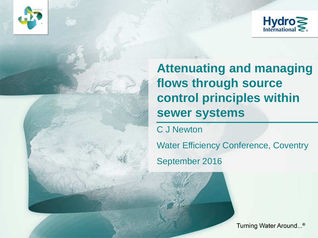



**Attenuating and managing flows through source control principles within sewer systems**

C J Newton

Water Efficiency Conference, Coventry

September 2016

Turning Water Around...®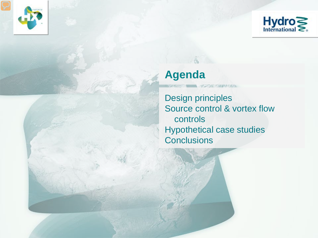



#### **Agenda**

 $-6$ 

Design principles Source control & vortex flow controls Hypothetical case studies **Conclusions**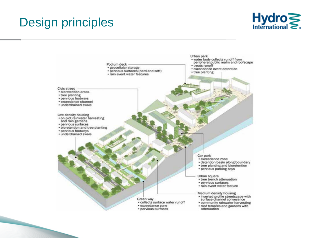# Design principles



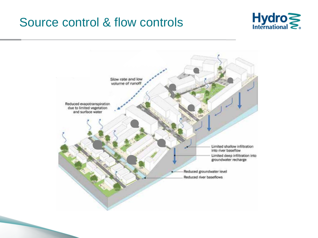#### Source control & flow controls



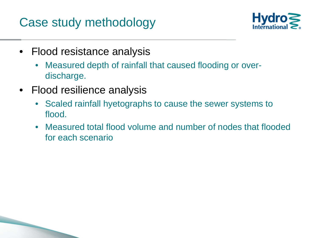## Case study methodology



- Flood resistance analysis
	- Measured depth of rainfall that caused flooding or overdischarge.
- Flood resilience analysis

- Scaled rainfall hyetographs to cause the sewer systems to flood.
- Measured total flood volume and number of nodes that flooded for each scenario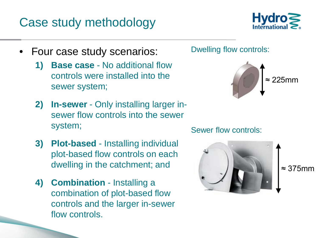## Case study methodology



- Four case study scenarios:
	- **1) Base case**  No additional flow controls were installed into the sewer system;
	- **2) In-sewer** Only installing larger insewer flow controls into the sewer system;
	- **3) Plot-based** Installing individual plot-based flow controls on each dwelling in the catchment; and
	- **4) Combination** Installing a combination of plot-based flow controls and the larger in-sewer flow controls.

Dwelling flow controls:



Sewer flow controls:



≈ 375mm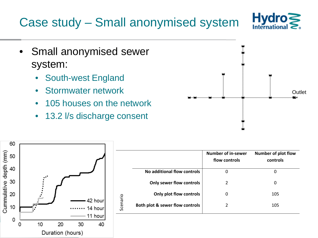# Case study – Small anonymised system



- Small anonymised sewer system:
	- South-west England
	- Stormwater network
	- 105 houses on the network
	- 13.2 l/s discharge consent





|                                 | Number of in-sewer<br>flow controls | <b>Number of plot flow</b><br>controls |
|---------------------------------|-------------------------------------|----------------------------------------|
| No additional flow controls     | 0                                   | O                                      |
| <b>Only sewer flow controls</b> | 2                                   | 0                                      |
| Only plot flow controls         | 0                                   | 105                                    |
| Both plot & sewer flow controls | 2                                   | 105                                    |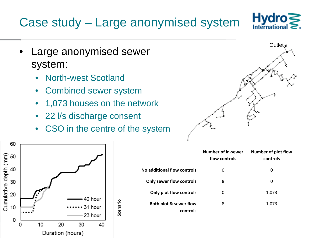# Case study – Large anonymised system



- Large anonymised sewer system:
	- North-west Scotland
	- Combined sewer system
	- 1,073 houses on the network
	- 22 l/s discharge consent
	- CSO in the centre of the system





|                                    | <b>Number of in-sewer</b><br>flow controls | Number of plot flow<br>controls |
|------------------------------------|--------------------------------------------|---------------------------------|
| No additional flow controls        | 0                                          | 0                               |
| <b>Only sewer flow controls</b>    | 8                                          | 0                               |
| Only plot flow controls            | 0                                          | 1,073                           |
| Both plot & sewer flow<br>controls | 8                                          | 1,073                           |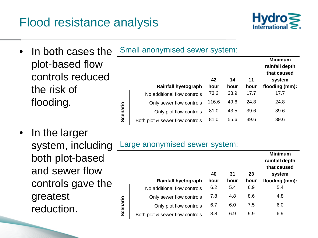### Flood resistance analysis



- In both cases the plot-based flow controls reduced the risk of flooding.
- In the larger both plot-based and sewer flow controls gave the greatest reduction.

|          | Small anonymised sewer system:  |       |      |      |                                                 |  |  |
|----------|---------------------------------|-------|------|------|-------------------------------------------------|--|--|
|          |                                 |       |      |      | <b>Minimum</b><br>rainfall depth<br>that caused |  |  |
|          |                                 | 42    | 14   | 11   | system                                          |  |  |
|          | <b>Rainfall hyetograph</b>      | hour  | hour | hour | flooding (mm):                                  |  |  |
|          | No additional flow controls     | 73.2  | 33.9 | 17.7 | 17.7                                            |  |  |
|          | Only sewer flow controls        | 116.6 | 49.6 | 24.8 | 24.8                                            |  |  |
| Scenario | Only plot flow controls         | 81.0  | 43.5 | 39.6 | 39.6                                            |  |  |
|          | Both plot & sewer flow controls | 81.0  | 55.6 | 39.6 | 39.6                                            |  |  |

#### system, including Large anonymised sewer system:

|          | <b>Rainfall hyetograph</b>      | 40<br>hour | 31<br>hour | 23<br>hour | <b>Minimum</b><br>rainfall depth<br>that caused<br>system<br>flooding (mm): |
|----------|---------------------------------|------------|------------|------------|-----------------------------------------------------------------------------|
|          | No additional flow controls     | 6.2        | 5.4        | 6.9        | 5.4                                                                         |
|          | Only sewer flow controls        | 7.8        | 4.8        | 8.6        | 4.8                                                                         |
| Scenario | Only plot flow controls         | 6.7        | 6.0        | 7.5        | 6.0                                                                         |
|          | Both plot & sewer flow controls | 8.8        | 6.9        | 9.9        | 6.9                                                                         |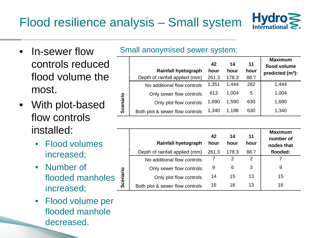

- In-sewer flow controls reduced flood volume the most.
- With plot-based flow controls installed:
	- Flood volumes increased;
	- Number of flooded manholes increased;
	- Flood volume per flooded manhole decreased.

| <u>Union anonymnous control cyclonic</u> |                                      |            |            |            |                                                       |  |
|------------------------------------------|--------------------------------------|------------|------------|------------|-------------------------------------------------------|--|
|                                          | <b>Rainfall hyetograph</b>           | 42<br>hour | 14<br>hour | 11<br>hour | <b>Maximum</b><br>flood volume<br>predicted $(m^3)$ : |  |
|                                          | Depth of rainfall applied (mm) 261.3 |            | 178.3      | 88.7       |                                                       |  |

Small anonymised sewer system:

|          | No additional flow controls     | 1,351 | 1,444 | 282 | 1.444 |
|----------|---------------------------------|-------|-------|-----|-------|
|          | Only sewer flow controls        | 613   | 1,004 | 5   | 1,004 |
| Scenario | Only plot flow controls         | 1,690 | 1,590 | 630 | 1,690 |
|          | Both plot & sewer flow controls | 1,340 | 1,198 | 630 | 1,340 |
|          |                                 |       |       |     |       |

|          | <b>Rainfall hyetograph</b>      | 42<br>hour | 14<br>hour | 11<br>hour | <b>Maximum</b><br>number of<br>nodes that |
|----------|---------------------------------|------------|------------|------------|-------------------------------------------|
|          | Depth of rainfall applied (mm)  | 261.3      | 178.3      | 88.7       | flooded:                                  |
|          | No additional flow controls     |            | 2          | 2          |                                           |
|          | Only sewer flow controls        | 9          | 6          | 3          | 9                                         |
| Scenario | Only plot flow controls         | 14         | 15         | 13         | 15                                        |
|          | Both plot & sewer flow controls | 16         | 16         | 13         | 16                                        |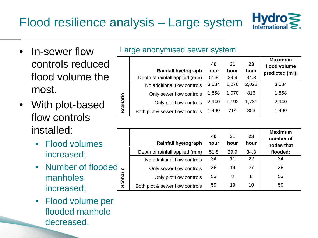

- In-sewer flow controls reduced flood volume the most.
- With plot-based flow controls installed:
	- Flood volumes increased;
	- Number of flooded manholes increased;
	- Flood volume per flooded manhole decreased.

#### Large anonymised sewer system:

|          |                                 | 40    | 31    | 23    | <b>Maximum</b><br>flood volume |
|----------|---------------------------------|-------|-------|-------|--------------------------------|
|          | <b>Rainfall hyetograph</b>      | hour  | hour  | hour  | predicted $(m^3)$ :            |
|          | Depth of rainfall applied (mm)  | 51.8  | 29.9  | 34.3  |                                |
|          | No additional flow controls     | 3,034 | 1,276 | 2,022 | 3,034                          |
|          | Only sewer flow controls        | 1,858 | 1,070 | 816   | 1,858                          |
| Scenario | Only plot flow controls         | 2,940 | 1,192 | 1,731 | 2,940                          |
|          | Both plot & sewer flow controls | 1,490 | 714   | 353   | 1,490                          |

|          | <b>Rainfall hyetograph</b>      | 40<br>hour | 31<br>hour | 23<br>hour | <b>Maximum</b><br>number of<br>nodes that |
|----------|---------------------------------|------------|------------|------------|-------------------------------------------|
|          | Depth of rainfall applied (mm)  | 51.8       | 29.9       | 34.3       | flooded:                                  |
|          | No additional flow controls     | 34         | 11         | 22         | 34                                        |
|          | Only sewer flow controls        | 38         | 19         | 27         | 38                                        |
| Scenario | Only plot flow controls         | 53         | 8          | 8          | 53                                        |
|          | Both plot & sewer flow controls | 59         | 19         | 10         | 59                                        |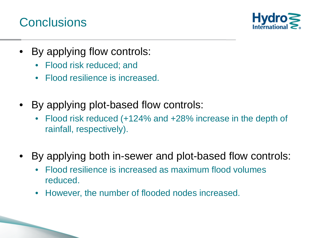#### **Conclusions**



- By applying flow controls:
	- Flood risk reduced; and
	- Flood resilience is increased.
- By applying plot-based flow controls:
	- Flood risk reduced (+124% and +28% increase in the depth of rainfall, respectively).
- By applying both in-sewer and plot-based flow controls:
	- Flood resilience is increased as maximum flood volumes reduced.
	- However, the number of flooded nodes increased.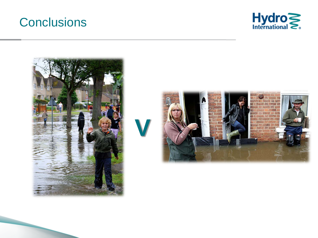#### **Conclusions**